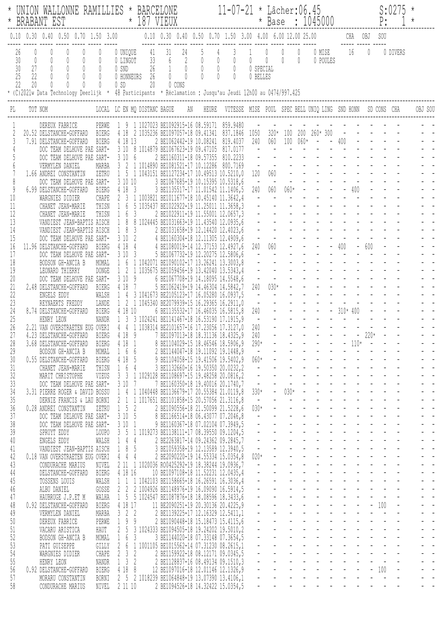| $^{\star}$   | UNION WALLONNE RAMILLIES * BARCELONE 11-07-21<br>BRABANT EST * 187 VIEUX<br>BRABANT EST                                                                                                                                                                                                                                                 |  |  |  |  |  |  |                         |             |  |          |         |
|--------------|-----------------------------------------------------------------------------------------------------------------------------------------------------------------------------------------------------------------------------------------------------------------------------------------------------------------------------------------|--|--|--|--|--|--|-------------------------|-------------|--|----------|---------|
|              |                                                                                                                                                                                                                                                                                                                                         |  |  |  |  |  |  |                         | CHA OBJ SOU |  |          |         |
|              |                                                                                                                                                                                                                                                                                                                                         |  |  |  |  |  |  | 0 MISE 16 0<br>0 POULES |             |  | 0 DIVERS |         |
|              | LOCAL LC EN MQ DISTANC BAGUE AN HEURE VITESSE MISE POUL SPEC BELL UNIQ LING SND HONN SD CONS CHA<br>TOT NOM                                                                                                                                                                                                                             |  |  |  |  |  |  |                         |             |  |          | OBJ SOU |
|              |                                                                                                                                                                                                                                                                                                                                         |  |  |  |  |  |  |                         |             |  |          |         |
| 3            | DEREUX FABRICE PERWE 1 9 1 1027023 BE1092915-16 08.59171 859.9480 - - - - - - - - - - - - - - -<br>DELSTANCHE-GOFFARD BIERG 4 18 2 1035236 BE1097057-18 09.41341 837.1846 1050 320* 100 200 260*300 - - - - - -<br>DELSTANCHE-GOFFAR<br>20.52 DELSTANCHE-GOFFARD BIERG 4 18 2 1035236 BE1097057-18 09.41341<br>7.91 DELSTANCHE-GOFFARD  |  |  |  |  |  |  |                         |             |  |          |         |
|              |                                                                                                                                                                                                                                                                                                                                         |  |  |  |  |  |  |                         |             |  |          |         |
| 6            |                                                                                                                                                                                                                                                                                                                                         |  |  |  |  |  |  |                         |             |  |          |         |
| 8            |                                                                                                                                                                                                                                                                                                                                         |  |  |  |  |  |  |                         |             |  |          |         |
| 9<br>$10\,$  |                                                                                                                                                                                                                                                                                                                                         |  |  |  |  |  |  |                         |             |  |          |         |
| 11           |                                                                                                                                                                                                                                                                                                                                         |  |  |  |  |  |  |                         |             |  |          |         |
| 12<br>13     |                                                                                                                                                                                                                                                                                                                                         |  |  |  |  |  |  |                         |             |  |          |         |
| 14           |                                                                                                                                                                                                                                                                                                                                         |  |  |  |  |  |  |                         |             |  |          |         |
| 15<br>16     | $\begin{tabular}{cccccccc} \texttt{1.5504, 0} & \texttt{1.5504, 0} & \texttt{2.504, 0} & \texttt{2.504, 0} & \texttt{2.504, 0} & \texttt{2.504, 0} & \texttt{2.504, 0} & \texttt{2.504, 0} & \texttt{2.544, 0} & \texttt{2.544, 0} & \texttt{2.544, 0} & \texttt{2.544, 0} & \texttt{2.544, 0} & \texttt{2.544, 0} & \texttt{2.544, 0}$ |  |  |  |  |  |  |                         |             |  |          |         |
| 17           |                                                                                                                                                                                                                                                                                                                                         |  |  |  |  |  |  |                         |             |  |          |         |
| 18<br>19     |                                                                                                                                                                                                                                                                                                                                         |  |  |  |  |  |  |                         |             |  |          |         |
| 20<br>21     |                                                                                                                                                                                                                                                                                                                                         |  |  |  |  |  |  |                         |             |  |          |         |
| 22           |                                                                                                                                                                                                                                                                                                                                         |  |  |  |  |  |  |                         |             |  |          |         |
| 23<br>24     |                                                                                                                                                                                                                                                                                                                                         |  |  |  |  |  |  |                         |             |  |          |         |
| 25           |                                                                                                                                                                                                                                                                                                                                         |  |  |  |  |  |  |                         |             |  |          |         |
| 26           | 27 4.23 DELSTANCHE-GOFFARD BIERG 4 18 9 7 BE1097013-18 18.31136 18.4325, 9                                                                                                                                                                                                                                                              |  |  |  |  |  |  |                         |             |  |          |         |
| 28           |                                                                                                                                                                                                                                                                                                                                         |  |  |  |  |  |  |                         |             |  |          |         |
| 29<br>30     |                                                                                                                                                                                                                                                                                                                                         |  |  |  |  |  |  |                         |             |  |          |         |
| 31           |                                                                                                                                                                                                                                                                                                                                         |  |  |  |  |  |  |                         |             |  |          |         |
| 32<br>33     |                                                                                                                                                                                                                                                                                                                                         |  |  |  |  |  |  |                         |             |  |          |         |
| 34           |                                                                                                                                                                                                                                                                                                                                         |  |  |  |  |  |  |                         |             |  |          |         |
| 35<br>36     |                                                                                                                                                                                                                                                                                                                                         |  |  |  |  |  |  |                         |             |  |          |         |
| 37           |                                                                                                                                                                                                                                                                                                                                         |  |  |  |  |  |  |                         |             |  |          |         |
| $38$<br>39   |                                                                                                                                                                                                                                                                                                                                         |  |  |  |  |  |  |                         |             |  |          |         |
| 40<br>41     |                                                                                                                                                                                                                                                                                                                                         |  |  |  |  |  |  |                         |             |  |          |         |
| 42           |                                                                                                                                                                                                                                                                                                                                         |  |  |  |  |  |  |                         |             |  |          |         |
| 43<br>$44\,$ |                                                                                                                                                                                                                                                                                                                                         |  |  |  |  |  |  |                         |             |  |          |         |
| $45\,$       |                                                                                                                                                                                                                                                                                                                                         |  |  |  |  |  |  |                         |             |  |          |         |
| 46<br>47     |                                                                                                                                                                                                                                                                                                                                         |  |  |  |  |  |  |                         |             |  |          |         |
| $4\,$        |                                                                                                                                                                                                                                                                                                                                         |  |  |  |  |  |  |                         |             |  |          |         |
| 49<br>50     |                                                                                                                                                                                                                                                                                                                                         |  |  |  |  |  |  |                         |             |  |          |         |
| $51\,$       |                                                                                                                                                                                                                                                                                                                                         |  |  |  |  |  |  |                         |             |  |          |         |
| 52<br>53     |                                                                                                                                                                                                                                                                                                                                         |  |  |  |  |  |  |                         |             |  |          |         |
| 54           |                                                                                                                                                                                                                                                                                                                                         |  |  |  |  |  |  |                         |             |  |          |         |
| 55<br>56     |                                                                                                                                                                                                                                                                                                                                         |  |  |  |  |  |  |                         |             |  |          |         |
| 57           |                                                                                                                                                                                                                                                                                                                                         |  |  |  |  |  |  |                         |             |  |          |         |
| 58           |                                                                                                                                                                                                                                                                                                                                         |  |  |  |  |  |  |                         |             |  |          |         |